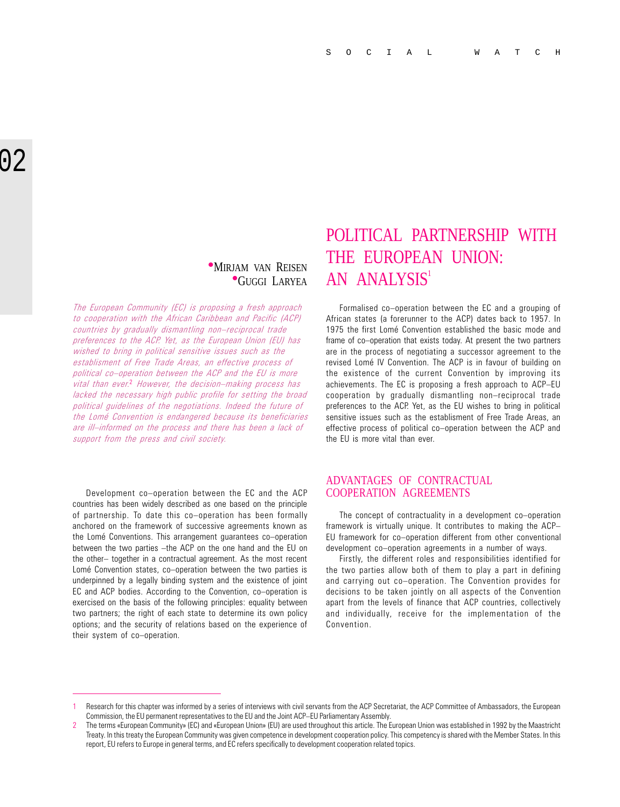# **MIRJAM VAN REISEN**

The European Community (EC) is proposing a fresh approach to cooperation with the African Caribbean and Pacific (ACP) countries by gradually dismantling non-reciprocal trade preferences to the ACP. Yet, as the European Union (EU) has wished to bring in political sensitive issues such as the establisment of Free Trade Areas, an effective process of political co-operation between the ACP and the EU is more vital than ever.<sup>2</sup> However, the decision-making process has lacked the necessary high public profile for setting the broad political guidelines of the negotiations. Indeed the future of the Lomé Convention is endangered because its beneficiaries are ill-informed on the process and there has been a lack of support from the press and civil society.

Development co-operation between the EC and the ACP countries has been widely described as one based on the principle of partnership. To date this co-operation has been formally anchored on the framework of successive agreements known as the Lomé Conventions. This arrangement guarantees co-operation between the two parties -the ACP on the one hand and the EU on the other- together in a contractual agreement. As the most recent Lomé Convention states, co-operation between the two parties is underpinned by a legally binding system and the existence of joint EC and ACP bodies. According to the Convention, co-operation is exercised on the basis of the following principles: equality between two partners; the right of each state to determine its own policy options; and the security of relations based on the experience of their system of co-operation.

# POLITICAL PARTNERSHIP WITH THE EUROPEAN UNION: **CUGGI LARYEA** AN ANALYSIS<sup>1</sup>

Formalised co-operation between the EC and a grouping of African states (a forerunner to the ACP) dates back to 1957. In 1975 the first Lomé Convention established the basic mode and frame of co-operation that exists today. At present the two partners are in the process of negotiating a successor agreement to the revised Lomé IV Convention. The ACP is in favour of building on the existence of the current Convention by improving its achievements. The EC is proposing a fresh approach to ACP-EU cooperation by gradually dismantling non-reciprocal trade preferences to the ACP. Yet, as the EU wishes to bring in political sensitive issues such as the establisment of Free Trade Areas, an effective process of political co-operation between the ACP and the EU is more vital than ever.

# ADVANTAGES OF CONTRACTUAL COOPERATION AGREEMENTS

The concept of contractuality in a development co-operation framework is virtually unique. It contributes to making the ACP EU framework for co-operation different from other conventional development co-operation agreements in a number of ways.

Firstly, the different roles and responsibilities identified for the two parties allow both of them to play a part in defining and carrying out co-operation. The Convention provides for decisions to be taken jointly on all aspects of the Convention apart from the levels of finance that ACP countries, collectively and individually, receive for the implementation of the Convention.

Research for this chapter was informed by a series of interviews with civil servants from the ACP Secretariat, the ACP Committee of Ambassadors, the European Commission, the EU permanent representatives to the EU and the Joint ACP-EU Parliamentary Assembly.

<sup>2</sup> The terms «European Community» (EC) and «European Union» (EU) are used throughout this article. The European Union was established in 1992 by the Maastricht Treaty. In this treaty the European Community was given competence in development cooperation policy. This competency is shared with the Member States. In this report, EU refers to Europe in general terms, and EC refers specifically to development cooperation related topics.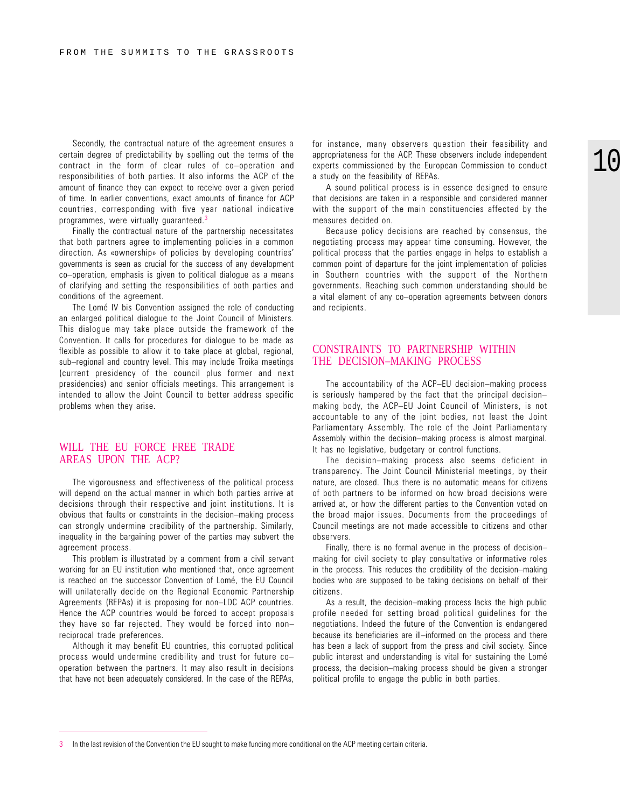Secondly, the contractual nature of the agreement ensures a certain degree of predictability by spelling out the terms of the contract in the form of clear rules of co-operation and responsibilities of both parties. It also informs the ACP of the amount of finance they can expect to receive over a given period of time. In earlier conventions, exact amounts of finance for ACP countries, corresponding with five year national indicative programmes, were virtually guaranteed.3

Finally the contractual nature of the partnership necessitates that both partners agree to implementing policies in a common direction. As «ownership» of policies by developing countries' governments is seen as crucial for the success of any development co-operation, emphasis is given to political dialogue as a means of clarifying and setting the responsibilities of both parties and conditions of the agreement.

The Lomé IV bis Convention assigned the role of conducting an enlarged political dialogue to the Joint Council of Ministers. This dialogue may take place outside the framework of the Convention. It calls for procedures for dialogue to be made as flexible as possible to allow it to take place at global, regional, sub-regional and country level. This may include Troika meetings (current presidency of the council plus former and next presidencies) and senior officials meetings. This arrangement is intended to allow the Joint Council to better address specific problems when they arise.

#### WILL THE EU FORCE FREE TRADE AREAS UPON THE ACP?

The vigorousness and effectiveness of the political process will depend on the actual manner in which both parties arrive at decisions through their respective and joint institutions. It is obvious that faults or constraints in the decision-making process can strongly undermine credibility of the partnership. Similarly, inequality in the bargaining power of the parties may subvert the agreement process.

This problem is illustrated by a comment from a civil servant working for an EU institution who mentioned that, once agreement is reached on the successor Convention of Lomé, the EU Council will unilaterally decide on the Regional Economic Partnership Agreements (REPAs) it is proposing for non-LDC ACP countries. Hence the ACP countries would be forced to accept proposals they have so far rejected. They would be forced into non reciprocal trade preferences.

Although it may benefit EU countries, this corrupted political process would undermine credibility and trust for future co operation between the partners. It may also result in decisions that have not been adequately considered. In the case of the REPAs,

for instance, many observers question their feasibility and appropriateness for the ACP. These observers include independent experts commissioned by the European Commission to conduct a study on the feasibility of REPAs.

A sound political process is in essence designed to ensure that decisions are taken in a responsible and considered manner with the support of the main constituencies affected by the measures decided on.

Because policy decisions are reached by consensus, the negotiating process may appear time consuming. However, the political process that the parties engage in helps to establish a common point of departure for the joint implementation of policies in Southern countries with the support of the Northern governments. Reaching such common understanding should be a vital element of any co-operation agreements between donors and recipients.

## CONSTRAINTS TO PARTNERSHIP WITHIN THE DECISION–MAKING PROCESS

The accountability of the ACP-EU decision-making process is seriously hampered by the fact that the principal decision making body, the ACP-EU Joint Council of Ministers, is not accountable to any of the joint bodies, not least the Joint Parliamentary Assembly. The role of the Joint Parliamentary Assembly within the decision–making process is almost marginal. It has no legislative, budgetary or control functions.

The decision-making process also seems deficient in transparency. The Joint Council Ministerial meetings, by their nature, are closed. Thus there is no automatic means for citizens of both partners to be informed on how broad decisions were arrived at, or how the different parties to the Convention voted on the broad major issues. Documents from the proceedings of Council meetings are not made accessible to citizens and other observers.

Finally, there is no formal avenue in the process of decision making for civil society to play consultative or informative roles in the process. This reduces the credibility of the decision-making bodies who are supposed to be taking decisions on behalf of their citizens.

As a result, the decision-making process lacks the high public profile needed for setting broad political guidelines for the negotiations. Indeed the future of the Convention is endangered because its beneficiaries are ill-informed on the process and there has been a lack of support from the press and civil society. Since public interest and understanding is vital for sustaining the Lomé process, the decision-making process should be given a stronger political profile to engage the public in both parties.

<sup>3</sup> In the last revision of the Convention the EU sought to make funding more conditional on the ACP meeting certain criteria.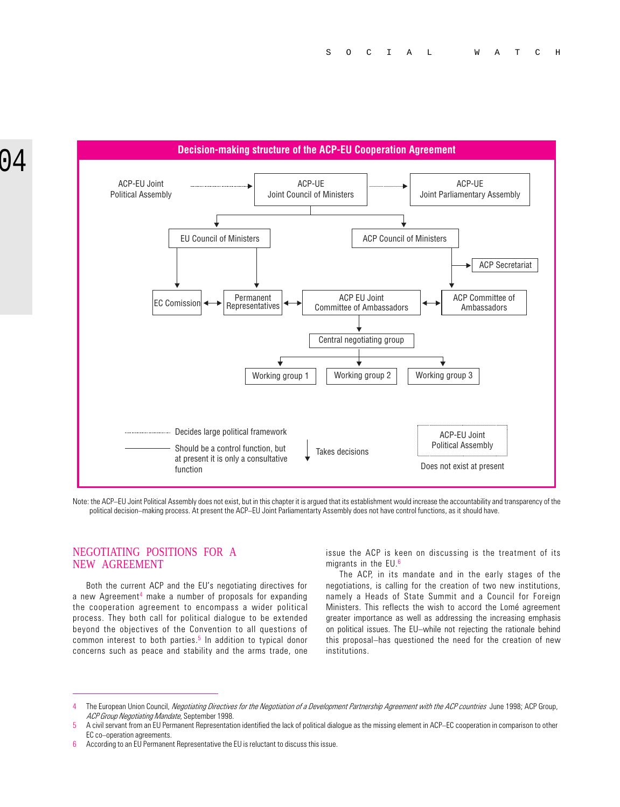

#### **Decision-making structure of the ACP-EU Cooperation Agreement**

Note: the ACP-EU Joint Political Assembly does not exist, but in this chapter it is argued that its establishment would increase the accountability and transparency of the political decision-making process. At present the ACP-EU Joint Parliamentarty Assembly does not have control functions, as it should have.

#### NEGOTIATING POSITIONS FOR A NEW AGREEMENT

Both the current ACP and the EU's negotiating directives for a new Agreement<sup>4</sup> make a number of proposals for expanding the cooperation agreement to encompass a wider political process. They both call for political dialogue to be extended beyond the objectives of the Convention to all questions of common interest to both parties.<sup>5</sup> In addition to typical donor concerns such as peace and stability and the arms trade, one

issue the ACP is keen on discussing is the treatment of its migrants in the EU.6

The ACP, in its mandate and in the early stages of the negotiations, is calling for the creation of two new institutions, namely a Heads of State Summit and a Council for Foreign Ministers. This reflects the wish to accord the Lomé agreement greater importance as well as addressing the increasing emphasis on political issues. The EU-while not rejecting the rationale behind this proposal-has questioned the need for the creation of new institutions.

<sup>4</sup> The European Union Council, *Negotiating Directives for the Negotiation of a Development Partnership Agreement with the ACP countries June 1998; ACP Group,* ACP Group Negotiating Mandate, September 1998.

<sup>5</sup> A civil servant from an EU Permanent Representation identified the lack of political dialogue as the missing element in ACPEC cooperation in comparison to other EC co-operation agreements.

<sup>6</sup> According to an EU Permanent Representative the EU is reluctant to discuss this issue.